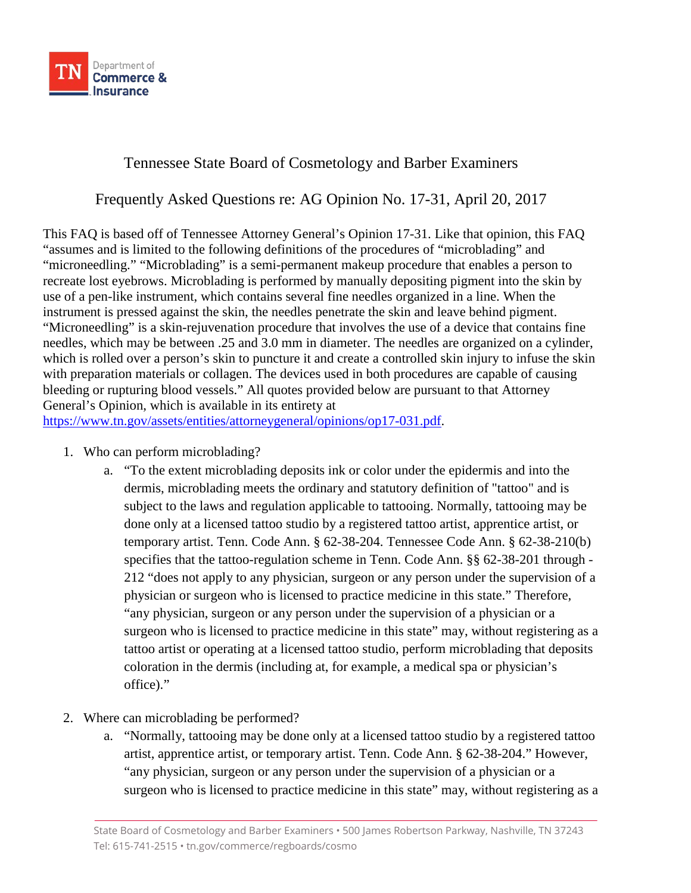

## Tennessee State Board of Cosmetology and Barber Examiners

Frequently Asked Questions re: AG Opinion No. 17-31, April 20, 2017

This FAQ is based off of Tennessee Attorney General's Opinion 17-31. Like that opinion, this FAQ "assumes and is limited to the following definitions of the procedures of "microblading" and "microneedling." "Microblading" is a semi-permanent makeup procedure that enables a person to recreate lost eyebrows. Microblading is performed by manually depositing pigment into the skin by use of a pen-like instrument, which contains several fine needles organized in a line. When the instrument is pressed against the skin, the needles penetrate the skin and leave behind pigment. "Microneedling" is a skin-rejuvenation procedure that involves the use of a device that contains fine needles, which may be between .25 and 3.0 mm in diameter. The needles are organized on a cylinder, which is rolled over a person's skin to puncture it and create a controlled skin injury to infuse the skin with preparation materials or collagen. The devices used in both procedures are capable of causing bleeding or rupturing blood vessels." All quotes provided below are pursuant to that Attorney General's Opinion, which is available in its entirety at

[https://www.tn.gov/assets/entities/attorneygeneral/opinions/op17-031.pdf.](https://www.tn.gov/assets/entities/attorneygeneral/opinions/op17-031.pdf)

- 1. Who can perform microblading?
	- a. "To the extent microblading deposits ink or color under the epidermis and into the dermis, microblading meets the ordinary and statutory definition of "tattoo" and is subject to the laws and regulation applicable to tattooing. Normally, tattooing may be done only at a licensed tattoo studio by a registered tattoo artist, apprentice artist, or temporary artist. Tenn. Code Ann. § 62-38-204. Tennessee Code Ann. § 62-38-210(b) specifies that the tattoo-regulation scheme in Tenn. Code Ann. §§ 62-38-201 through - 212 "does not apply to any physician, surgeon or any person under the supervision of a physician or surgeon who is licensed to practice medicine in this state." Therefore, "any physician, surgeon or any person under the supervision of a physician or a surgeon who is licensed to practice medicine in this state" may, without registering as a tattoo artist or operating at a licensed tattoo studio, perform microblading that deposits coloration in the dermis (including at, for example, a medical spa or physician's office)."
- 2. Where can microblading be performed?
	- a. "Normally, tattooing may be done only at a licensed tattoo studio by a registered tattoo artist, apprentice artist, or temporary artist. Tenn. Code Ann. § 62-38-204." However, "any physician, surgeon or any person under the supervision of a physician or a surgeon who is licensed to practice medicine in this state" may, without registering as a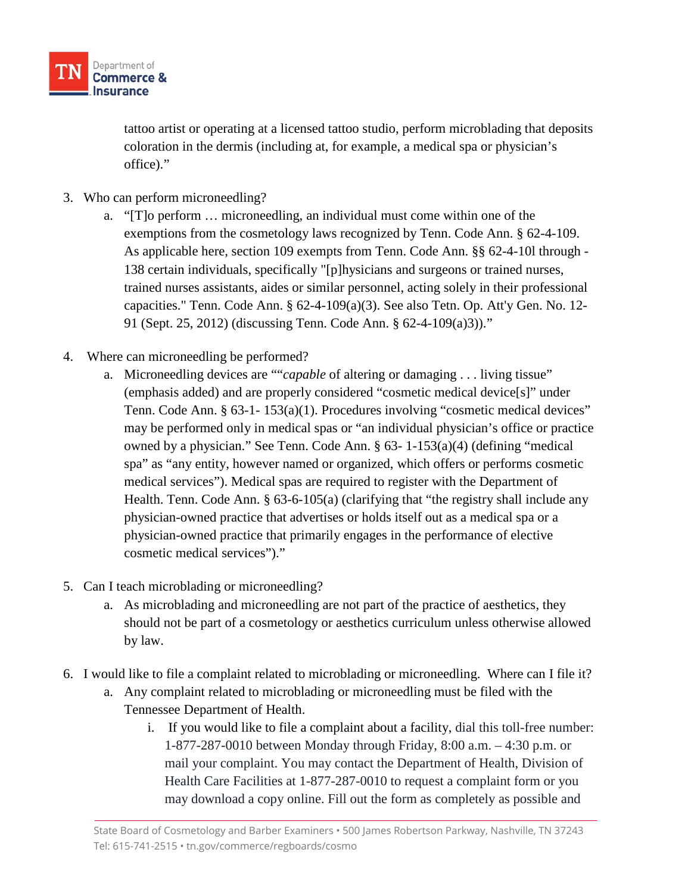

tattoo artist or operating at a licensed tattoo studio, perform microblading that deposits coloration in the dermis (including at, for example, a medical spa or physician's office)."

- 3. Who can perform microneedling?
	- a. "[T]o perform … microneedling, an individual must come within one of the exemptions from the cosmetology laws recognized by Tenn. Code Ann. § 62-4-109. As applicable here, section 109 exempts from Tenn. Code Ann. §§ 62-4-10l through - 138 certain individuals, specifically "[p]hysicians and surgeons or trained nurses, trained nurses assistants, aides or similar personnel, acting solely in their professional capacities." Tenn. Code Ann.  $\S$  62-4-109(a)(3). See also Tetn. Op. Att'y Gen. No. 12-91 (Sept. 25, 2012) (discussing Tenn. Code Ann. § 62-4-109(a)3))."
- 4. Where can microneedling be performed?
	- a. Microneedling devices are ""*capable* of altering or damaging . . . living tissue" (emphasis added) and are properly considered "cosmetic medical device[s]" under Tenn. Code Ann. § 63-1- 153(a)(1). Procedures involving "cosmetic medical devices" may be performed only in medical spas or "an individual physician's office or practice owned by a physician." See Tenn. Code Ann. § 63- 1-153(a)(4) (defining "medical spa" as "any entity, however named or organized, which offers or performs cosmetic medical services"). Medical spas are required to register with the Department of Health. Tenn. Code Ann. § 63-6-105(a) (clarifying that "the registry shall include any physician-owned practice that advertises or holds itself out as a medical spa or a physician-owned practice that primarily engages in the performance of elective cosmetic medical services")."
- 5. Can I teach microblading or microneedling?
	- a. As microblading and microneedling are not part of the practice of aesthetics, they should not be part of a cosmetology or aesthetics curriculum unless otherwise allowed by law.
- 6. I would like to file a complaint related to microblading or microneedling. Where can I file it?
	- a. Any complaint related to microblading or microneedling must be filed with the Tennessee Department of Health.
		- i. If you would like to file a complaint about a facility, dial this toll-free number: 1-877-287-0010 between Monday through Friday, 8:00 a.m. – 4:30 p.m. or mail your complaint. You may contact the Department of Health, Division of Health Care Facilities at 1-877-287-0010 to request a complaint form or you may download a copy online. Fill out the form as completely as possible and